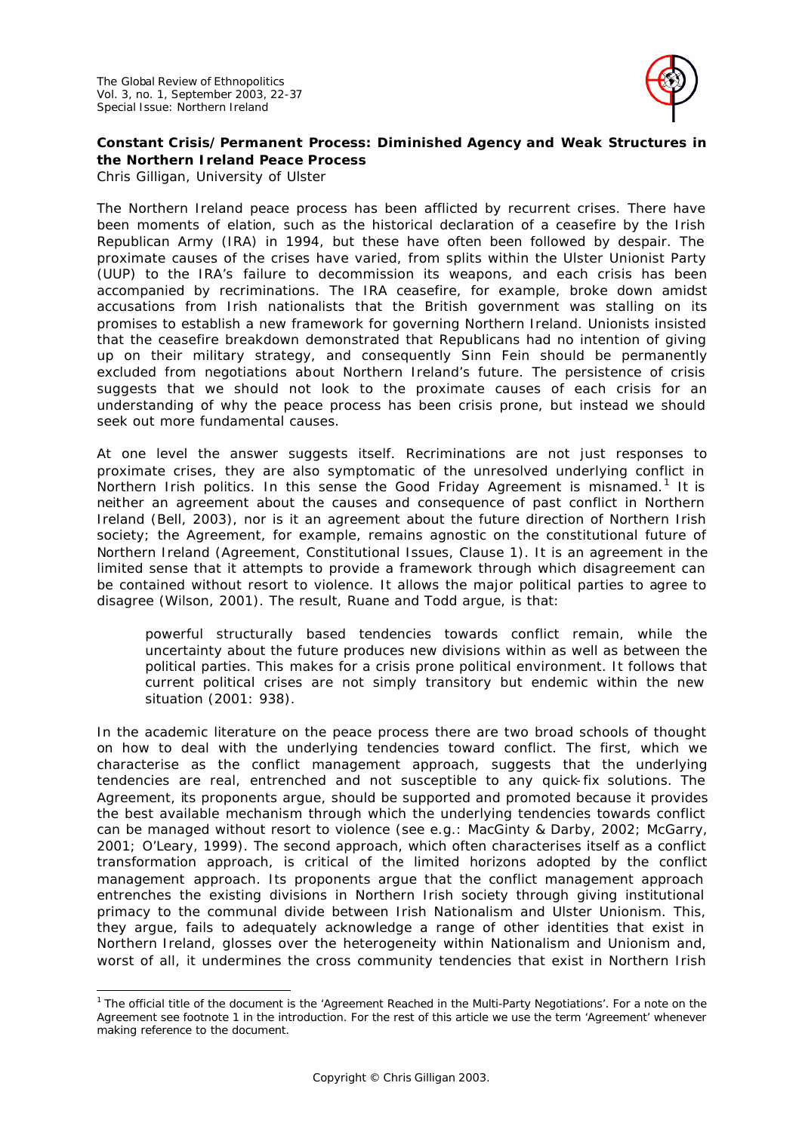

# **Constant Crisis/Permanent Process: Diminished Agency and Weak Structures in the Northern Ireland Peace Process**

*Chris Gilligan, University of Ulster*

The Northern Ireland peace process has been afflicted by recurrent crises. There have been moments of elation, such as the historical declaration of a ceasefire by the Irish Republican Army (IRA) in 1994, but these have often been followed by despair. The proximate causes of the crises have varied, from splits within the Ulster Unionist Party (UUP) to the IRA's failure to decommission its weapons, and each crisis has been accompanied by recriminations. The IRA ceasefire, for example, broke down amidst accusations from Irish nationalists that the British government was stalling on its promises to establish a new framework for governing Northern Ireland. Unionists insisted that the ceasefire breakdown demonstrated that Republicans had no intention of giving up on their military strategy, and consequently Sinn Fein should be permanently excluded from negotiations about Northern Ireland's future. The persistence of crisis suggests that we should not look to the proximate causes of each crisis for an understanding of why the peace process has been crisis prone, but instead we should seek out more fundamental causes.

At one level the answer suggests itself. Recriminations are not just responses to proximate crises, they are also symptomatic of the unresolved underlying conflict in Northern Irish politics. In this sense the Good Friday Agreement is misnamed.<sup>1</sup> It is neither an agreement about the causes and consequence of past conflict in Northern Ireland (Bell, 2003), nor is it an agreement about the future direction of Northern Irish society; the Agreement, for example, remains agnostic on the constitutional future of Northern Ireland (Agreement, Constitutional Issues, Clause 1). It is an agreement in the limited sense that it attempts to provide a framework through which disagreement can be contained without resort to violence. It allows the major political parties to agree to disagree (Wilson, 2001). The result, Ruane and Todd argue, is that:

powerful structurally based tendencies towards conflict remain, while the uncertainty about the future produces new divisions within as well as between the political parties. This makes for a crisis prone political environment. It follows that current political crises are not simply transitory but endemic within the new situation (2001: 938).

In the academic literature on the peace process there are two broad schools of thought on how to deal with the underlying tendencies toward conflict. The first, which we characterise as the conflict management approach, suggests that the underlying tendencies are real, entrenched and not susceptible to any quick-fix solutions. The Agreement, its proponents argue, should be supported and promoted because it provides the best available mechanism through which the underlying tendencies towards conflict can be managed without resort to violence (see e.g.: MacGinty & Darby, 2002; McGarry, 2001; O'Leary, 1999). The second approach, which often characterises itself as a conflict transformation approach, is critical of the limited horizons adopted by the conflict management approach. Its proponents argue that the conflict management approach entrenches the existing divisions in Northern Irish society through giving institutional primacy to the communal divide between Irish Nationalism and Ulster Unionism. This, they argue, fails to adequately acknowledge a range of other identities that exist in Northern Ireland, glosses over the heterogeneity within Nationalism and Unionism and, worst of all, it undermines the cross community tendencies that exist in Northern Irish

l <sup>1</sup> The official title of the document is the 'Agreement Reached in the Multi-Party Negotiations'. For a note on the Agreement see footnote 1 in the introduction. For the rest of this article we use the term 'Agreement' whenever making reference to the document.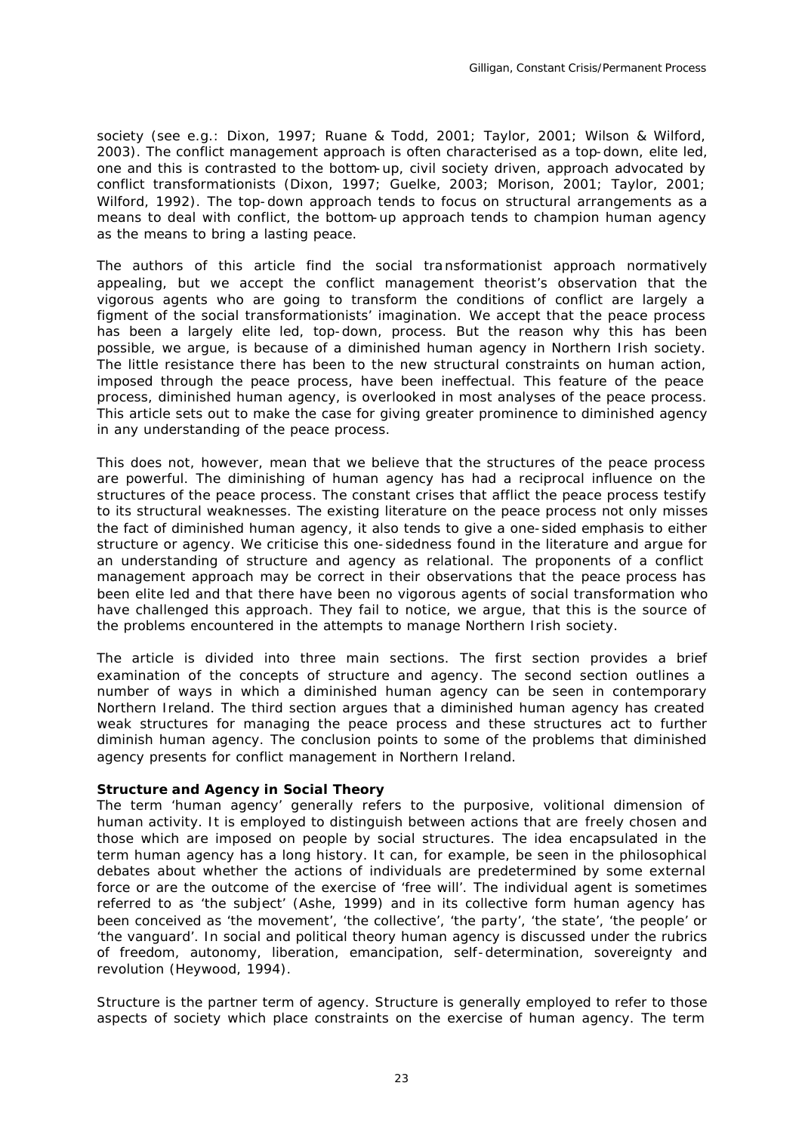society (see e.g.: Dixon, 1997; Ruane & Todd, 2001; Taylor, 2001; Wilson & Wilford, 2003). The conflict management approach is often characterised as a top-down, elite led, one and this is contrasted to the bottom-up, civil society driven, approach advocated by conflict transformationists (Dixon, 1997; Guelke, 2003; Morison, 2001; Taylor, 2001; Wilford, 1992). The top-down approach tends to focus on structural arrangements as a means to deal with conflict, the bottom-up approach tends to champion human agency as the means to bring a lasting peace.

The authors of this article find the social tra nsformationist approach normatively appealing, but we accept the conflict management theorist's observation that the vigorous agents who are going to transform the conditions of conflict are largely a figment of the social transformationists' imagination. We accept that the peace process has been a largely elite led, top-down, process. But the reason why this has been possible, we argue, is because of a diminished human agency in Northern Irish society. The little resistance there has been to the new structural constraints on human action, imposed through the peace process, have been ineffectual. This feature of the peace process, diminished human agency, is overlooked in most analyses of the peace process. This article sets out to make the case for giving greater prominence to diminished agency in any understanding of the peace process.

This does not, however, mean that we believe that the structures of the peace process are powerful. The diminishing of human agency has had a reciprocal influence on the structures of the peace process. The constant crises that afflict the peace process testify to its structural weaknesses. The existing literature on the peace process not only misses the fact of diminished human agency, it also tends to give a one-sided emphasis to either structure or agency. We criticise this one-sidedness found in the literature and argue for an understanding of structure and agency as relational. The proponents of a conflict management approach may be correct in their observations that the peace process has been elite led and that there have been no vigorous agents of social transformation who have challenged this approach. They fail to notice, we argue, that this is the source of the problems encountered in the attempts to manage Northern Irish society.

The article is divided into three main sections. The first section provides a brief examination of the concepts of structure and agency. The second section outlines a number of ways in which a diminished human agency can be seen in contemporary Northern Ireland. The third section argues that a diminished human agency has created weak structures for managing the peace process and these structures act to further diminish human agency. The conclusion points to some of the problems that diminished agency presents for conflict management in Northern Ireland.

#### *Structure and Agency in Social Theory*

The term 'human agency' generally refers to the purposive, volitional dimension of human activity. It is employed to distinguish between actions that are freely chosen and those which are imposed on people by social structures. The idea encapsulated in the term human agency has a long history. It can, for example, be seen in the philosophical debates about whether the actions of individuals are predetermined by some external force or are the outcome of the exercise of 'free will'. The individual agent is sometimes referred to as 'the subject' (Ashe, 1999) and in its collective form human agency has been conceived as 'the movement', 'the collective', 'the party', 'the state', 'the people' or 'the vanguard'. In social and political theory human agency is discussed under the rubrics of freedom, autonomy, liberation, emancipation, self-determination, sovereignty and revolution (Heywood, 1994).

Structure is the partner term of agency. Structure is generally employed to refer to those aspects of society which place constraints on the exercise of human agency. The term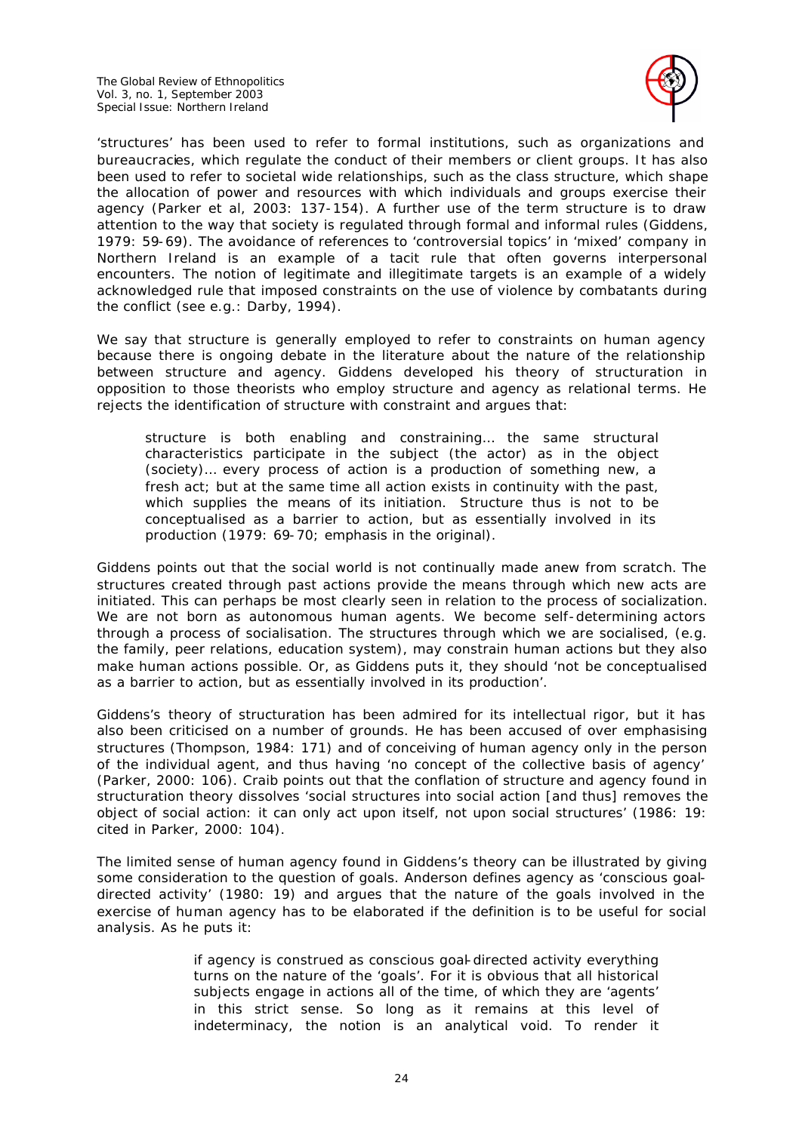The Global Review of Ethnopolitics Vol. 3, no. 1, September 2003 Special Issue: Northern Ireland



'structures' has been used to refer to formal institutions, such as organizations and bureaucracies, which regulate the conduct of their members or client groups. It has also been used to refer to societal wide relationships, such as the class structure, which shape the allocation of power and resources with which individuals and groups exercise their agency (Parker et al, 2003: 137-154). A further use of the term structure is to draw attention to the way that society is regulated through formal and informal rules (Giddens, 1979: 59-69). The avoidance of references to 'controversial topics' in 'mixed' company in Northern Ireland is an example of a tacit rule that often governs interpersonal encounters. The notion of legitimate and illegitimate targets is an example of a widely acknowledged rule that imposed constraints on the use of violence by combatants during the conflict (see e.g.: Darby, 1994).

We say that structure is *generally* employed to refer to constraints on human agency because there is ongoing debate in the literature about the nature of the relationship between structure and agency. Giddens developed his theory of structuration in opposition to those theorists who employ structure and agency as relational terms. He rejects the identification of structure with constraint and argues that:

structure is both enabling and constraining… the same structural characteristics participate in the subject (the actor) as in the object (society)… every process of action is a production of something new, a fresh act; but at the same time all action exists in continuity with the past, which supplies the means of its initiation. *Structure thus is not to be conceptualised as a barrier to action, but as essentially involved in its production* (1979: 69-70; emphasis in the original).

Giddens points out that the social world is not continually made anew from scratch. The structures created through past actions provide the means through which new acts are initiated. This can perhaps be most clearly seen in relation to the process of socialization. We are not born as autonomous human agents. We become self-determining actors through a process of socialisation. The structures through which we are socialised, (e.g. the family, peer relations, education system), may constrain human actions but they also make human actions possible. Or, as Giddens puts it, they should 'not be conceptualised as a barrier to action, but as essentially involved in its production'.

Giddens's theory of structuration has been admired for its intellectual rigor, but it has also been criticised on a number of grounds. He has been accused of over emphasising structures (Thompson, 1984: 171) and of conceiving of human agency only in the person of the individual agent, and thus having 'no concept of the collective basis of agency' (Parker, 2000: 106). Craib points out that the conflation of structure and agency found in structuration theory dissolves 'social structures into social action [and thus] removes the object of social action: it can only act upon itself, not upon social structures' (1986: 19: cited in Parker, 2000: 104).

The limited sense of human agency found in Giddens's theory can be illustrated by giving some consideration to the question of goals. Anderson defines agency as 'conscious goaldirected activity' (1980: 19) and argues that the nature of the goals involved in the exercise of human agency has to be elaborated if the definition is to be useful for social analysis. As he puts it:

> if agency is construed as conscious goal-directed activity everything turns on the nature of the 'goals'. For it is obvious that all historical subjects engage in actions all of the time, of which they are 'agents' in this strict sense. So long as it remains at this level of indeterminacy, the notion is an analytical void. To render it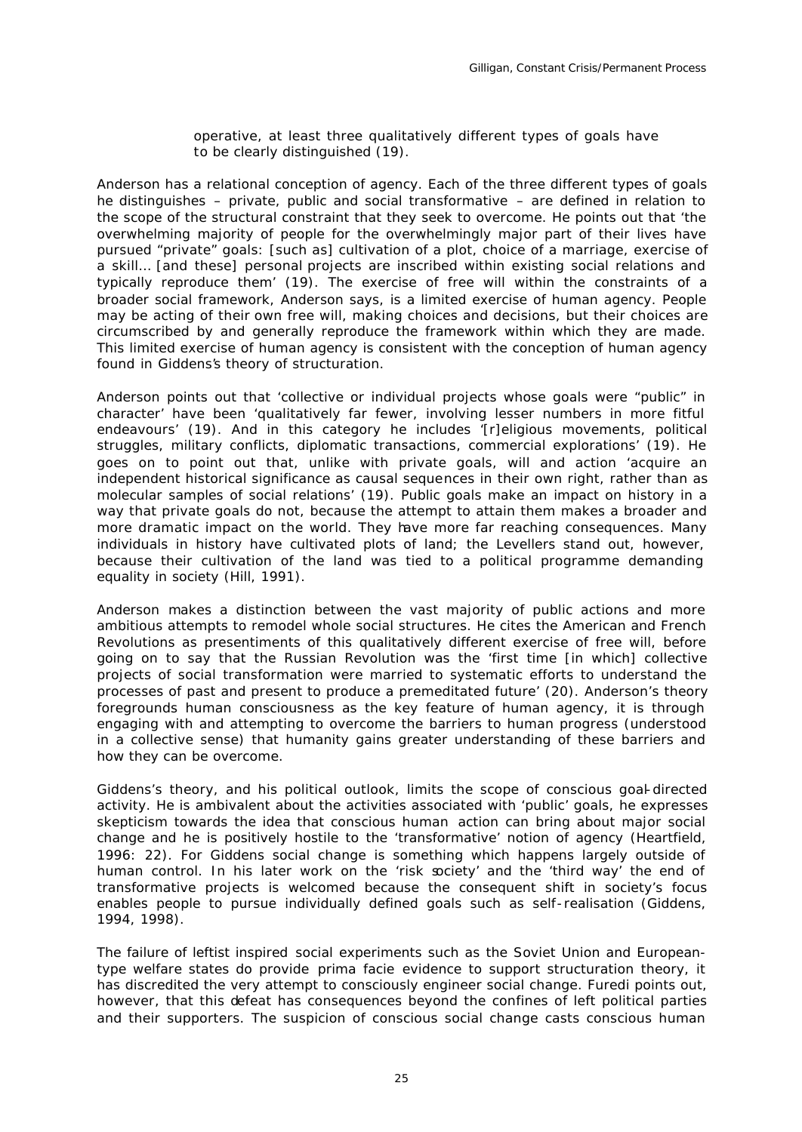operative, at least three qualitatively different types of goals have to be clearly distinguished (19).

Anderson has a relational conception of agency. Each of the three different types of goals he distinguishes – private, public and social transformative – are defined in relation to the scope of the structural constraint that they seek to overcome. He points out that 'the overwhelming majority of people for the overwhelmingly major part of their lives have pursued "private" goals: [such as] cultivation of a plot, choice of a marriage, exercise of a skill… [and these] personal projects are inscribed within existing social relations and typically reproduce them' (19). The exercise of free will within the constraints of a broader social framework, Anderson says, is a limited exercise of human agency. People may be acting of their own free will, making choices and decisions, but their choices are circumscribed by and generally reproduce the framework within which they are made. This limited exercise of human agency is consistent with the conception of human agency found in Giddens's theory of structuration.

Anderson points out that 'collective or individual projects whose goals were "public" in character' have been 'qualitatively far fewer, involving lesser numbers in more fitful endeavours' (19). And in this category he includes '[r]eligious movements, political struggles, military conflicts, diplomatic transactions, commercial explorations' (19). He goes on to point out that, unlike with private goals, will and action 'acquire an independent historical significance as causal sequences in their own right, rather than as molecular samples of social relations' (19). Public goals make an impact on history in a way that private goals do not, because the attempt to attain them makes a broader and more dramatic impact on the world. They have more far reaching consequences. Many individuals in history have cultivated plots of land; the Levellers stand out, however, because their cultivation of the land was tied to a political programme demanding equality in society (Hill, 1991).

Anderson makes a distinction between the vast majority of public actions and more ambitious attempts to remodel whole social structures. He cites the American and French Revolutions as presentiments of this qualitatively different exercise of free will, before going on to say that the Russian Revolution was the 'first time [in which] collective projects of social transformation were married to systematic efforts to understand the processes of past and present to produce a premeditated future' (20). Anderson's theory foregrounds human consciousness as the key feature of human agency, it is through engaging with and attempting to overcome the barriers to human progress (understood in a collective sense) that humanity gains greater understanding of these barriers and how they can be overcome.

Giddens's theory, and his political outlook, limits the scope of conscious goal-directed activity. He is ambivalent about the activities associated with 'public' goals, he expresses skepticism towards the idea that conscious human action can bring about major social change and he is positively hostile to the 'transformative' notion of agency (Heartfield, 1996: 22). For Giddens social change is something which happens largely outside of human control. In his later work on the 'risk society' and the 'third way' the end of transformative projects is welcomed because the consequent shift in society's focus enables people to pursue individually defined goals such as self-realisation (Giddens, 1994, 1998).

The failure of leftist inspired social experiments such as the Soviet Union and Europeantype welfare states do provide *prima facie* evidence to support structuration theory, it has discredited the very attempt to consciously engineer social change. Furedi points out, however, that this defeat has consequences beyond the confines of left political parties and their supporters. The suspicion of conscious social change casts conscious human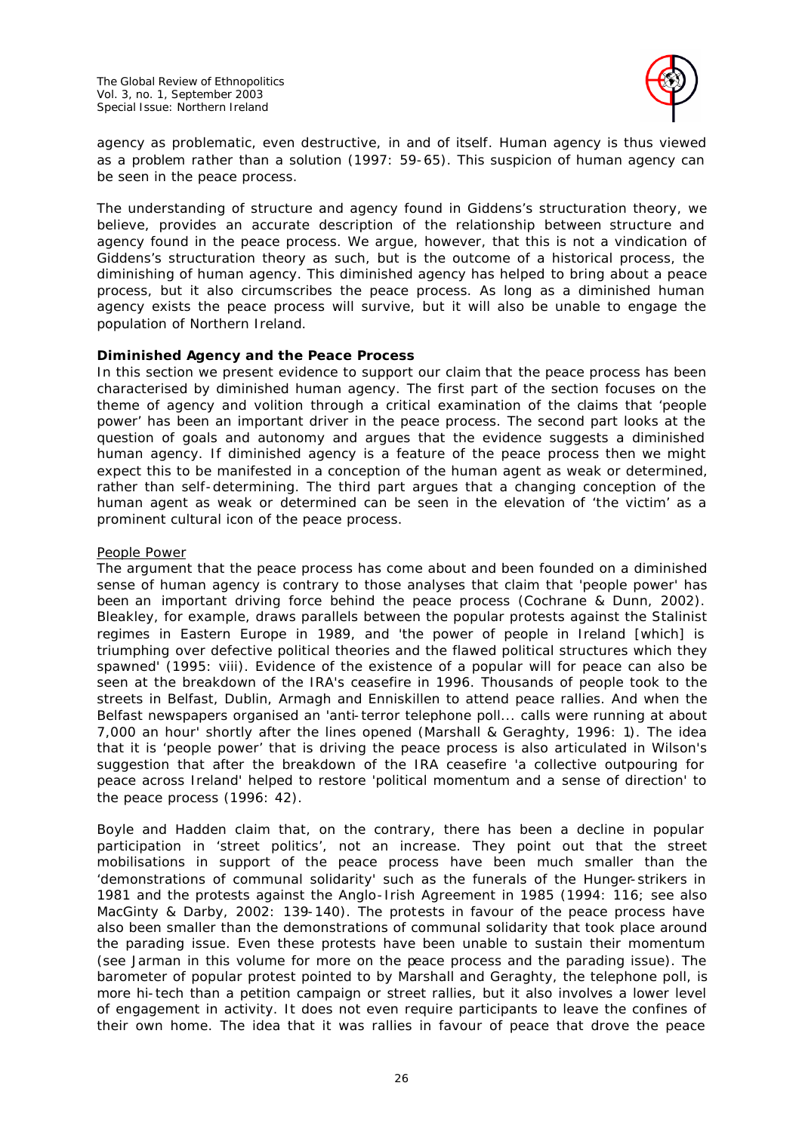

agency as problematic, even destructive, *in and of itself*. Human agency is thus viewed as a problem rather than a solution (1997: 59-65). This suspicion of human agency can be seen in the peace process.

The understanding of structure and agency found in Giddens's structuration theory, we believe, provides an accurate description of the relationship between structure and agency found in the peace process. We argue, however, that this is not a vindication of Giddens's structuration theory as such, but is the outcome of a historical process, the diminishing of human agency. This diminished agency has helped to bring about a peace process, but it also circumscribes the peace process. As long as a diminished human agency exists the peace process will survive, but it will also be unable to engage the population of Northern Ireland.

# *Diminished Agency and the Peace Process*

In this section we present evidence to support our claim that the peace process has been characterised by diminished human agency. The first part of the section focuses on the theme of agency and volition through a critical examination of the claims that 'people power' has been an important driver in the peace process. The second part looks at the question of goals and autonomy and argues that the evidence suggests a diminished human agency. If diminished agency is a feature of the peace process then we might expect this to be manifested in a conception of the human agent as weak or determined, rather than self-determining. The third part argues that a changing conception of the human agent as weak or determined can be seen in the elevation of 'the victim' as a prominent cultural icon of the peace process.

### People Power

The argument that the peace process has come about and been founded on a diminished sense of human agency is contrary to those analyses that claim that 'people power' has been an important driving force behind the peace process (Cochrane & Dunn, 2002). Bleakley, for example, draws parallels between the popular protests against the Stalinist regimes in Eastern Europe in 1989, and 'the power of people in Ireland [which] is triumphing over defective political theories and the flawed political structures which they spawned' (1995: viii). Evidence of the existence of a popular will for peace can also be seen at the breakdown of the IRA's ceasefire in 1996. Thousands of people took to the streets in Belfast, Dublin, Armagh and Enniskillen to attend peace rallies. And when the Belfast newspapers organised an 'anti-terror telephone poll... calls were running at about 7,000 an hour' shortly after the lines opened (Marshall & Geraghty, 1996: 1). The idea that it is 'people power' that is driving the peace process is also articulated in Wilson's suggestion that after the breakdown of the IRA ceasefire 'a collective outpouring for peace across Ireland' helped to restore 'political momentum and a sense of direction' to the peace process (1996: 42).

Boyle and Hadden claim that, on the contrary, there has been a decline in popular participation in 'street politics', not an increase. They point out that the street mobilisations in support of the peace process have been much smaller than the 'demonstrations of communal solidarity' such as the funerals of the Hunger-strikers in 1981 and the protests against the Anglo-Irish Agreement in 1985 (1994: 116; see also MacGinty & Darby, 2002: 139-140). The protests in favour of the peace process have also been smaller than the demonstrations of communal solidarity that took place around the parading issue. Even these protests have been unable to sustain their momentum (see Jarman in this volume for more on the peace process and the parading issue). The barometer of popular protest pointed to by Marshall and Geraghty, the telephone poll, is more hi-tech than a petition campaign or street rallies, but it also involves a lower level of engagement in activity. It does not even require participants to leave the confines of their own home. The idea that it was rallies in favour of peace that drove the peace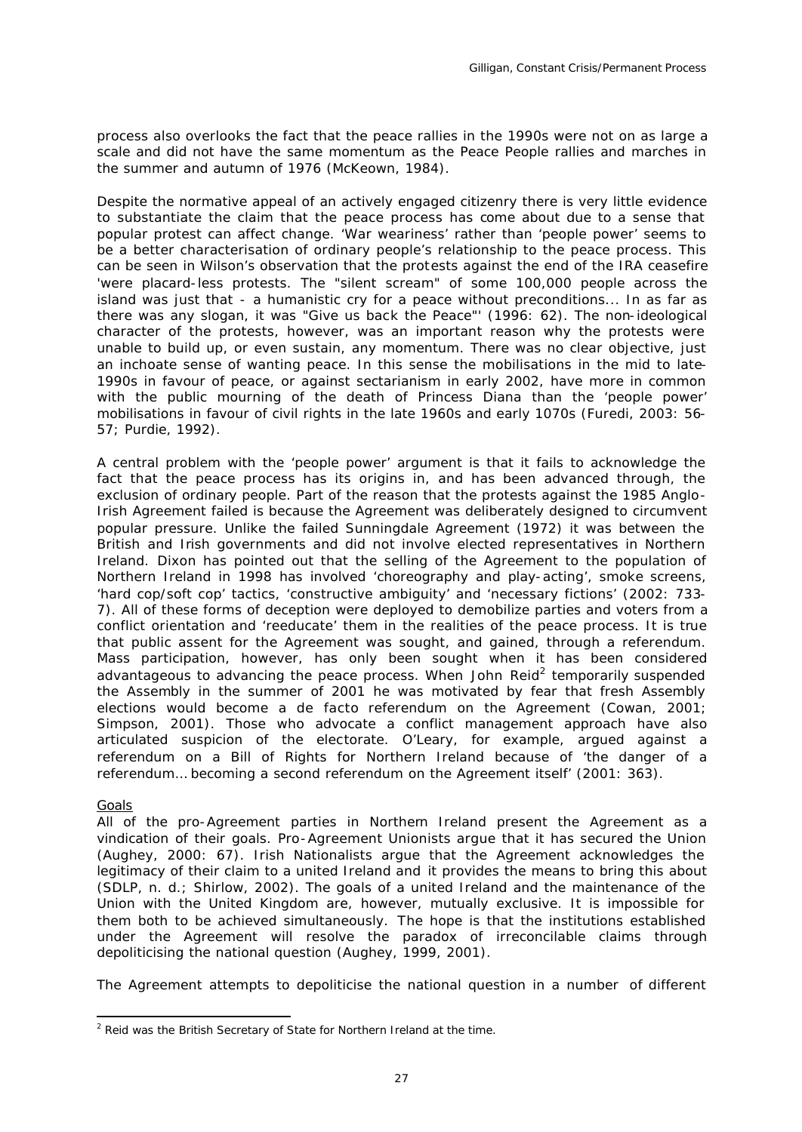process also overlooks the fact that the peace rallies in the 1990s were not on as large a scale and did not have the same momentum as the Peace People rallies and marches in the summer and autumn of 1976 (McKeown, 1984).

Despite the normative appeal of an actively engaged citizenry there is very little evidence to substantiate the claim that the peace process has come about due to a sense that popular protest can affect change. 'War weariness' rather than 'people power' seems to be a better characterisation of ordinary people's relationship to the peace process. This can be seen in Wilson's observation that the protests against the end of the IRA ceasefire 'were placard-less protests. The "silent scream" of some 100,000 people across the island was just that - a humanistic cry for a peace without preconditions... In as far as there was any slogan, it was "Give us back the Peace"' (1996: 62). The non-ideological character of the protests, however, was an important reason why the protests were unable to build up, or even sustain, any momentum. There was no clear objective, just an inchoate sense of wanting peace. In this sense the mobilisations in the mid to late-1990s in favour of peace, or against sectarianism in early 2002, have more in common with the public mourning of the death of Princess Diana than the 'people power' mobilisations in favour of civil rights in the late 1960s and early 1070s (Furedi, 2003: 56- 57; Purdie, 1992).

A central problem with the 'people power' argument is that it fails to acknowledge the fact that the peace process has its origins in, and has been advanced through, the exclusion of ordinary people. Part of the reason that the protests against the 1985 Anglo-Irish Agreement failed is because the Agreement was deliberately designed to circumvent popular pressure. Unlike the failed Sunningdale Agreement (1972) it was between the British and Irish governments and did not involve elected representatives in Northern Ireland. Dixon has pointed out that the selling of the Agreement to the population of Northern Ireland in 1998 has involved 'choreography and play-acting', smoke screens, 'hard cop/soft cop' tactics, 'constructive ambiguity' and 'necessary fictions' (2002: 733- 7). All of these forms of deception were deployed to demobilize parties and voters from a conflict orientation and 'reeducate' them in the realities of the peace process. It is true that public assent for the Agreement was sought, and gained, through a referendum. Mass participation, however, has only been sought when it has been considered advantageous to advancing the peace process. When John Reid<sup>2</sup> temporarily suspended the Assembly in the summer of 2001 he was motivated by fear that fresh Assembly elections would become a *de facto* referendum on the Agreement (Cowan, 2001; Simpson, 2001). Those who advocate a conflict management approach have also articulated suspicion of the electorate. O'Leary, for example, argued against a referendum on a Bill of Rights for Northern Ireland because of 'the danger of a referendum… becoming a second referendum on the Agreement itself' (2001: 363).

### **Goals**

All of the pro-Agreement parties in Northern Ireland present the Agreement as a vindication of their goals. Pro-Agreement Unionists argue that it has secured the Union (Aughey, 2000: 67). Irish Nationalists argue that the Agreement acknowledges the legitimacy of their claim to a united Ireland and it provides the means to bring this about (SDLP, n. d.; Shirlow, 2002). The goals of a united Ireland and the maintenance of the Union with the United Kingdom are, however, mutually exclusive. It is impossible for them both to be achieved simultaneously. The hope is that the institutions established under the Agreement will resolve the paradox of irreconcilable claims through depoliticising the national question (Aughey, 1999, 2001).

The Agreement attempts to depoliticise the national question in a number of different

l  $2$  Reid was the British Secretary of State for Northern Ireland at the time.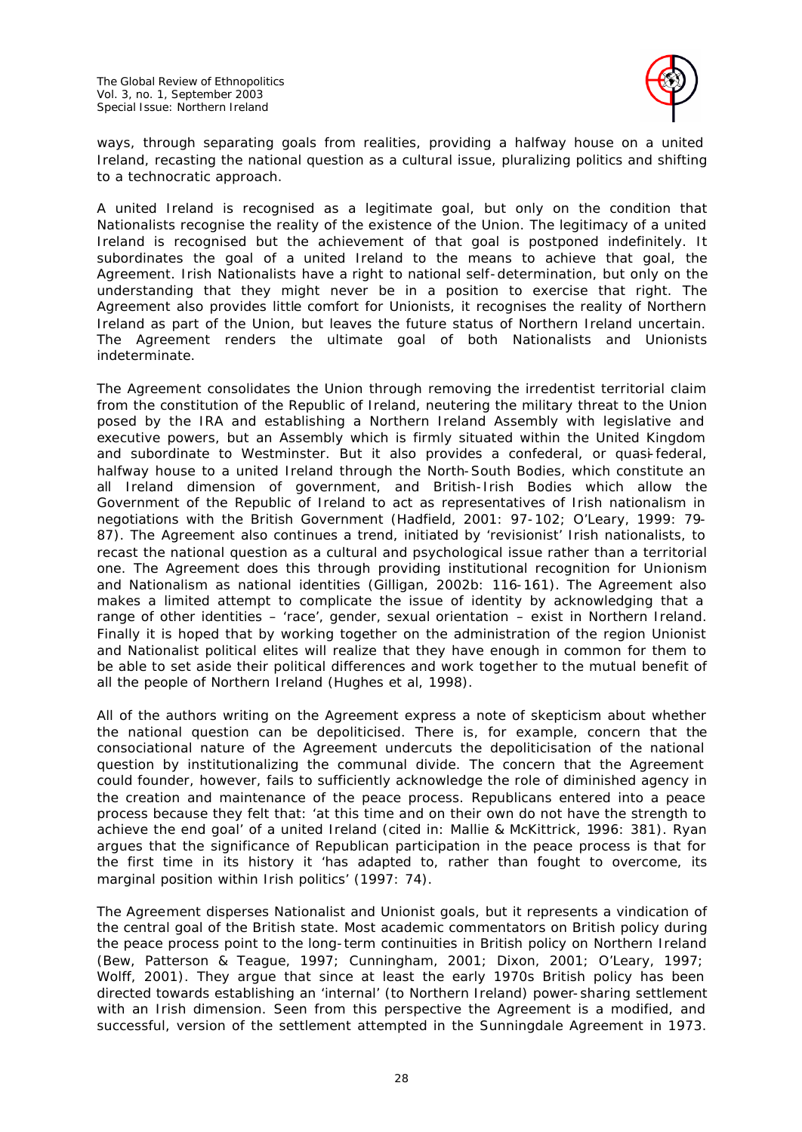

ways, through separating goals from realities, providing a halfway house on a united Ireland, recasting the national question as a cultural issue, pluralizing politics and shifting to a technocratic approach.

A united Ireland is recognised as a legitimate goal, but only on the condition that Nationalists recognise the reality of the existence of the Union. The legitimacy of a united Ireland is recognised but the achievement of that goal is postponed indefinitely. It subordinates the goal of a united Ireland to the means to achieve that goal, the Agreement. Irish Nationalists have a *right* to national self-determination, but only on the understanding that they might never be in a position to exercise that right. The Agreement also provides little comfort for Unionists, it recognises the reality of Northern Ireland as part of the Union, but leaves the future status of Northern Ireland uncertain. The Agreement renders the ultimate goal of both Nationalists and Unionists indeterminate.

The Agreement consolidates the Union through removing the irredentist territorial claim from the constitution of the Republic of Ireland, neutering the military threat to the Union posed by the IRA and establishing a Northern Ireland Assembly with legislative and executive powers, but an Assembly which is firmly situated within the United Kingdom and subordinate to Westminster. But it also provides a confederal, or quasi-federal, halfway house to a united Ireland through the North-South Bodies, which constitute an all Ireland dimension of government, and British-Irish Bodies which allow the Government of the Republic of Ireland to act as representatives of Irish nationalism in negotiations with the British Government (Hadfield, 2001: 97-102; O'Leary, 1999: 79- 87). The Agreement also continues a trend, initiated by 'revisionist' Irish nationalists, to recast the national question as a cultural and psychological issue rather than a territorial one. The Agreement does this through providing institutional recognition for Unionism and Nationalism as national identities (Gilligan, 2002b: 116-161). The Agreement also makes a limited attempt to complicate the issue of identity by acknowledging that a range of other identities – 'race', gender, sexual orientation – exist in Northern Ireland. Finally it is hoped that by working together on the administration of the region Unionist and Nationalist political elites will realize that they have enough in common for them to be able to set aside their political differences and work together to the mutual benefit of all the people of Northern Ireland (Hughes et al, 1998).

All of the authors writing on the Agreement express a note of skepticism about whether the national question can be depoliticised. There is, for example, concern that the consociational nature of the Agreement undercuts the depoliticisation of the national question by institutionalizing the communal divide. The concern that the Agreement could founder, however, fails to sufficiently acknowledge the role of diminished agency in the creation and maintenance of the peace process. Republicans entered into a peace process because they felt that: 'at this time and on their own do not have the strength to achieve the end goal' of a united Ireland (cited in: Mallie & McKittrick, 1996: 381). Ryan argues that the significance of Republican participation in the peace process is that for the first time in its history it 'has adapted to, rather than fought to overcome, its marginal position within Irish politics' (1997: 74).

The Agreement disperses Nationalist and Unionist goals, but it represents a vindication of the central goal of the British state. Most academic commentators on British policy during the peace process point to the long-term continuities in British policy on Northern Ireland (Bew, Patterson & Teague, 1997; Cunningham, 2001; Dixon, 2001; O'Leary, 1997; Wolff, 2001). They argue that since at least the early 1970s British policy has been directed towards establishing an 'internal' (to Northern Ireland) power-sharing settlement with an Irish dimension. Seen from this perspective the Agreement is a modified, and successful, version of the settlement attempted in the Sunningdale Agreement in 1973.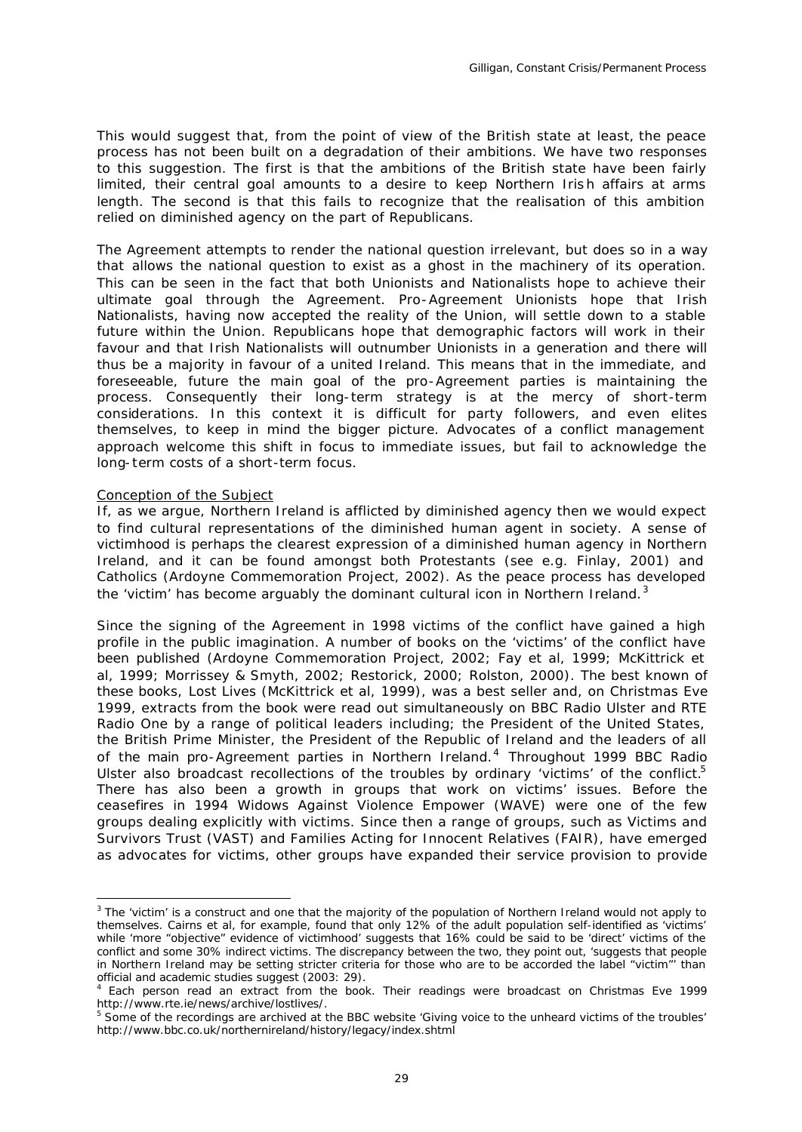This would suggest that, from the point of view of the British state at least, the peace process has not been built on a degradation of their ambitions. We have two responses to this suggestion. The first is that the ambitions of the British state have been fairly limited, their central goal amounts to a desire to keep Northern Irish affairs at arms length. The second is that this fails to recognize that the realisation of this ambition relied on diminished agency on the part of Republicans.

The Agreement attempts to render the national question irrelevant, but does so in a way that allows the national question to exist as a ghost in the machinery of its operation. This can be seen in the fact that both Unionists and Nationalists hope to achieve their ultimate goal *through* the Agreement. Pro-Agreement Unionists hope that Irish Nationalists, having now accepted the reality of the Union, will settle down to a stable future within the Union. Republicans hope that demographic factors will work in their favour and that Irish Nationalists will outnumber Unionists in a generation and there will thus be a majority in favour of a united Ireland. This means that in the immediate, and foreseeable, future the main goal of the pro-Agreement parties is maintaining the process. Consequently their long-term strategy is at the mercy of short-term considerations. In this context it is difficult for party followers, and even elites themselves, to keep in mind the bigger picture. Advocates of a conflict management approach welcome this shift in focus to immediate issues, but fail to acknowledge the long-term costs of a short-term focus.

#### Conception of the Subject

l

If, as we argue, Northern Ireland is afflicted by diminished agency then we would expect to find cultural representations of the diminished human agent in society. A sense of victimhood is perhaps the clearest expression of a diminished human agency in Northern Ireland, and it can be found amongst both Protestants (see e.g. Finlay, 2001) and Catholics (Ardoyne Commemoration Project, 2002). As the peace process has developed the 'victim' has become arguably the dominant cultural icon in Northern Ireland. $3$ 

Since the signing of the Agreement in 1998 victims of the conflict have gained a high profile in the public imagination. A number of books on the 'victims' of the conflict have been published (Ardoyne Commemoration Project, 2002; Fay et al, 1999; McKittrick et al, 1999; Morrissey & Smyth, 2002; Restorick, 2000; Rolston, 2000). The best known of these books, *Lost Lives* (McKittrick et al, 1999), was a best seller and, on Christmas Eve 1999, extracts from the book were read out simultaneously on BBC Radio Ulster and RTE Radio One by a range of political leaders including; the President of the United States, the British Prime Minister, the President of the Republic of Ireland and the leaders of all of the main pro-Agreement parties in Northern Ireland.<sup>4</sup> Throughout 1999 BBC Radio Ulster also broadcast recollections of the troubles by ordinary 'victims' of the conflict.<sup>5</sup> There has also been a growth in groups that work on victims' issues. Before the ceasefires in 1994 Widows Against Violence Empower (WAVE) were one of the few groups dealing explicitly with victims. Since then a range of groups, such as Victims and Survivors Trust (VAST) and Families Acting for Innocent Relatives (FAIR), have emerged as advocates for victims, other groups have expanded their service provision to provide

 $3$  The 'victim' is a construct and one that the majority of the population of Northern Ireland would not apply to themselves. Cairns et al, for example, found that only 12% of the adult population self-identified as 'victims' while 'more "objective" evidence of victimhood' suggests that 16% could be said to be 'direct' victims of the conflict and some 30% indirect victims. The discrepancy between the two, they point out, 'suggests that people in Northern Ireland may be setting stricter criteria for those who are to be accorded the label "victim"' than official and academic studies suggest (2003: 29).

<sup>4</sup> Each person read an extract from the book. Their readings were broadcast on Christmas Eve 1999 http://www.rte.ie/news/archive/lostlives/.

<sup>&</sup>lt;sup>5</sup> Some of the recordings are archived at the BBC website 'Giving voice to the unheard victims of the troubles' http://www.bbc.co.uk/northernireland/history/legacy/index.shtml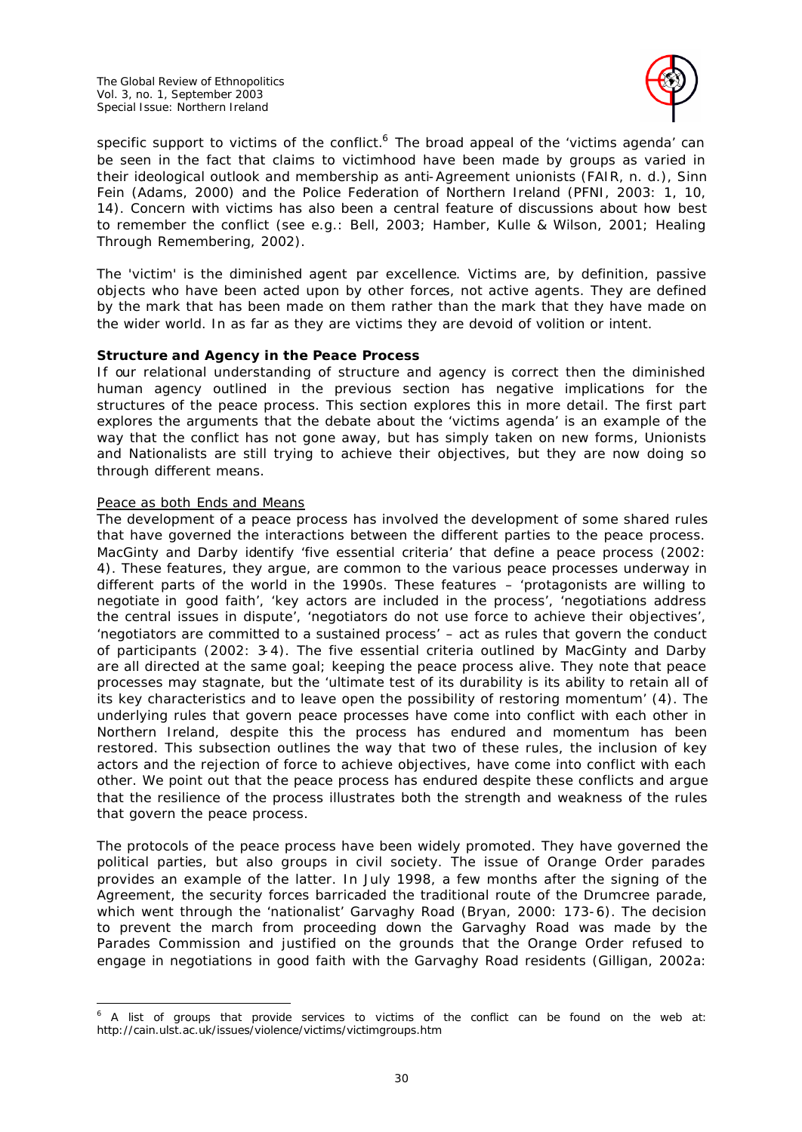

specific support to victims of the conflict.<sup>6</sup> The broad appeal of the 'victims agenda' can be seen in the fact that claims to victimhood have been made by groups as varied in their ideological outlook and membership as anti-Agreement unionists (FAIR, n. d.), Sinn Fein (Adams, 2000) and the Police Federation of Northern Ireland (PFNI, 2003: 1, 10, 14). Concern with victims has also been a central feature of discussions about how best to remember the conflict (see e.g.: Bell, 2003; Hamber, Kulle & Wilson, 2001; Healing Through Remembering, 2002).

The 'victim' is the diminished agent *par excellence*. Victims are, by definition, passive objects who have been acted upon by other forces, not active agents. They are defined by the mark that has been made on them rather than the mark that they have made on the wider world. In as far as they are victims they are devoid of volition or intent.

# *Structure and Agency in the Peace Process*

If our relational understanding of structure and agency is correct then the diminished human agency outlined in the previous section has negative implications for the structures of the peace process. This section explores this in more detail. The first part explores the arguments that the debate about the 'victims agenda' is an example of the way that the conflict has not gone away, but has simply taken on new forms, Unionists and Nationalists are still trying to achieve their objectives, but they are now doing so through different means.

### Peace as both Ends and Means

The development of a peace process has involved the development of some shared rules that have governed the interactions between the different parties to the peace process. MacGinty and Darby identify 'five essential criteria' that define a peace process (2002: 4). These features, they argue, are common to the various peace processes underway in different parts of the world in the 1990s. These features – 'protagonists are willing to negotiate in good faith', 'key actors are included in the process', 'negotiations address the central issues in dispute', 'negotiators do not use force to achieve their objectives', 'negotiators are committed to a sustained process' – act as rules that govern the conduct of participants (2002: 3-4). The five essential criteria outlined by MacGinty and Darby are all directed at the same goal; keeping the peace process alive. They note that peace processes may stagnate, but the 'ultimate test of its durability is its ability to retain all of its key characteristics and to leave open the possibility of restoring momentum' (4). The underlying rules that govern peace processes have come into conflict with each other in Northern Ireland, despite this the process has endured and momentum has been restored. This subsection outlines the way that two of these rules, the inclusion of key actors and the rejection of force to achieve objectives, have come into conflict with each other. We point out that the peace process has endured despite these conflicts and argue that the resilience of the process illustrates both the strength and weakness of the rules that govern the peace process.

The protocols of the peace process have been widely promoted. They have governed the political parties, but also groups in civil society. The issue of Orange Order parades provides an example of the latter. In July 1998, a few months after the signing of the Agreement, the security forces barricaded the traditional route of the Drumcree parade, which went through the 'nationalist' Garvaghy Road (Bryan, 2000: 173-6). The decision to prevent the march from proceeding down the Garvaghy Road was made by the Parades Commission and justified on the grounds that the Orange Order refused to engage in negotiations in good faith with the Garvaghy Road residents (Gilligan, 2002a:

l  $6$  A list of groups that provide services to victims of the conflict can be found on the web at: http://cain.ulst.ac.uk/issues/violence/victims/victimgroups.htm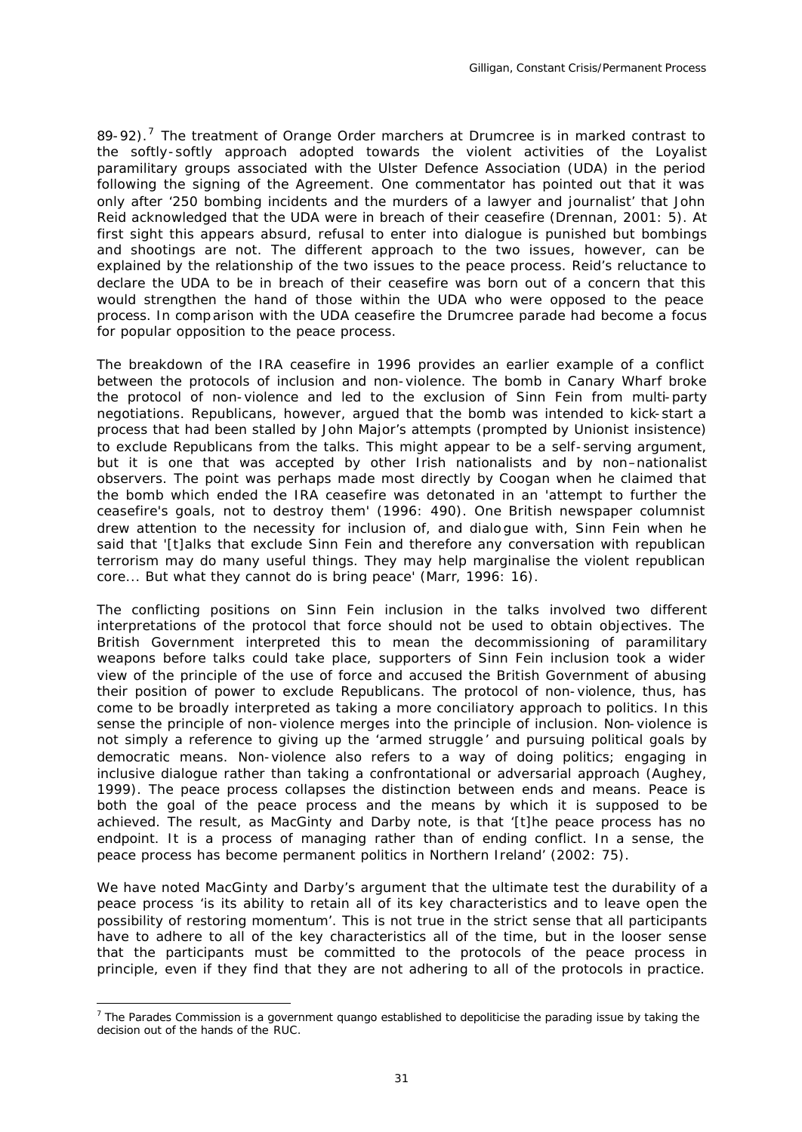89-92).<sup>7</sup> The treatment of Orange Order marchers at Drumcree is in marked contrast to the softly-softly approach adopted towards the violent activities of the Loyalist paramilitary groups associated with the Ulster Defence Association (UDA) in the period following the signing of the Agreement. One commentator has pointed out that it was only after '250 bombing incidents and the murders of a lawyer and journalist' that John Reid acknowledged that the UDA were in breach of their ceasefire (Drennan, 2001: 5). At first sight this appears absurd, refusal to enter into dialogue is punished but bombings and shootings are not. The different approach to the two issues, however, can be explained by the relationship of the two issues to the peace process. Reid's reluctance to declare the UDA to be in breach of their ceasefire was born out of a concern that this would strengthen the hand of those within the UDA who were opposed to the peace process. In comparison with the UDA ceasefire the Drumcree parade had become a focus for popular opposition to the peace process.

The breakdown of the IRA ceasefire in 1996 provides an earlier example of a conflict between the protocols of inclusion and non-violence. The bomb in Canary Wharf broke the protocol of non-violence and led to the exclusion of Sinn Fein from multi-party negotiations. Republicans, however, argued that the bomb was intended to kick-start a process that had been stalled by John Major's attempts (prompted by Unionist insistence) to exclude Republicans from the talks. This might appear to be a self-serving argument, but it is one that was accepted by other Irish nationalists and by non–nationalist observers. The point was perhaps made most directly by Coogan when he claimed that the bomb which ended the IRA ceasefire was detonated in an 'attempt to further the ceasefire's goals, not to destroy them' (1996: 490). One British newspaper columnist drew attention to the necessity for inclusion of, and dialo gue with, Sinn Fein when he said that '[t]alks that exclude Sinn Fein and therefore any conversation with republican terrorism may do many useful things. They may help marginalise the violent republican core... But what they cannot do is bring peace' (Marr, 1996: 16).

The conflicting positions on Sinn Fein inclusion in the talks involved two different interpretations of the protocol that force should not be used to obtain objectives. The British Government interpreted this to mean the decommissioning of paramilitary weapons before talks could take place, supporters of Sinn Fein inclusion took a wider view of the principle of the use of force and accused the British Government of abusing their position of power to exclude Republicans. The protocol of non-violence, thus, has come to be broadly interpreted as taking a more conciliatory approach to politics. In this sense the principle of non-violence merges into the principle of inclusion. Non-violence is not simply a reference to giving up the 'armed struggle ' and pursuing political goals by democratic means. Non-violence also refers to a way of doing politics; engaging in inclusive dialogue rather than taking a confrontational or adversarial approach (Aughey, 1999). The peace process collapses the distinction between ends and means. Peace is both the goal of the peace process and the means by which it is supposed to be achieved. The result, as MacGinty and Darby note, is that '[t]he peace process has no endpoint. It is a process of managing rather than of ending conflict. In a sense, the peace process has become permanent politics in Northern Ireland' (2002: 75).

We have noted MacGinty and Darby's argument that the ultimate test the durability of a peace process 'is its ability to retain all of its key characteristics and to leave open the possibility of restoring momentum'. This is not true in the strict sense that all participants have to adhere to all of the key characteristics all of the time, but in the looser sense that the participants must be committed to the protocols of the peace process in principle, even if they find that they are not adhering to all of the protocols in practice.

l

<sup>&</sup>lt;sup>7</sup> The Parades Commission is a government quango established to depoliticise the parading issue by taking the decision out of the hands of the RUC.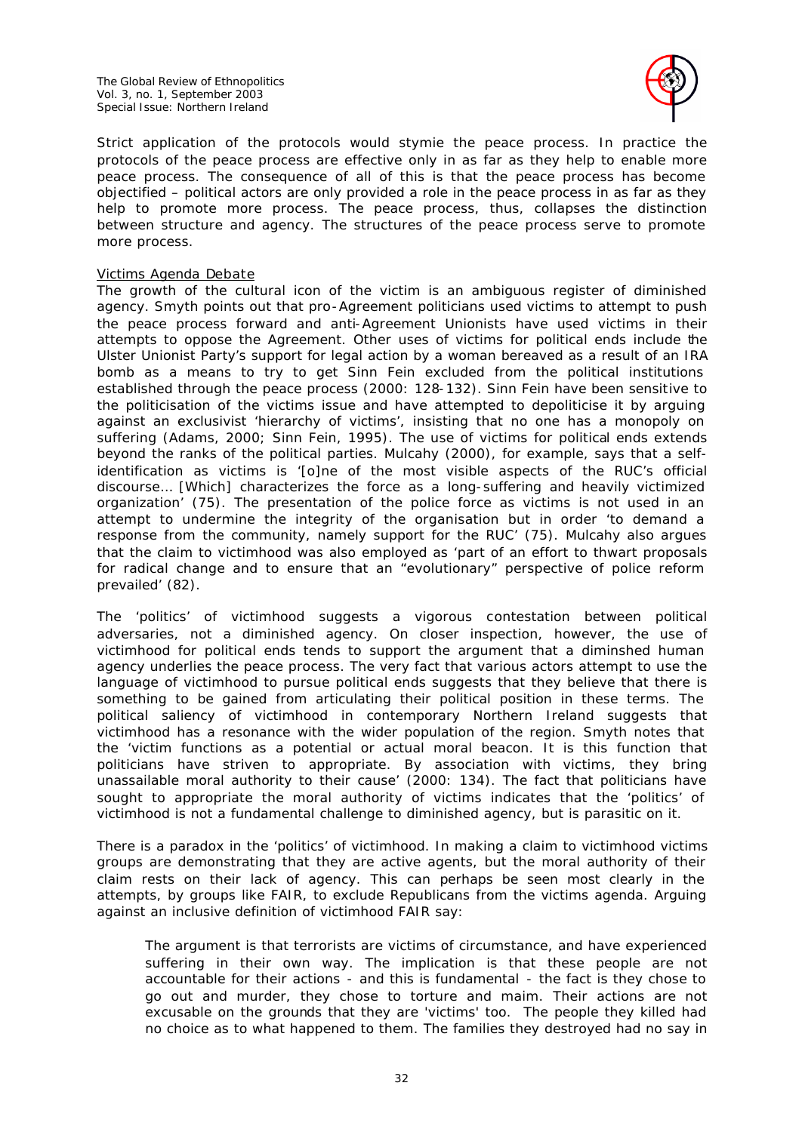The Global Review of Ethnopolitics Vol. 3, no. 1, September 2003 Special Issue: Northern Ireland



Strict application of the protocols would stymie the peace process. In practice the protocols of the peace process are effective only in as far as they help to enable more peace process. The consequence of all of this is that the peace process has become objectified – political actors are only provided a role in the peace process in as far as they help to promote more process. The peace process, thus, collapses the distinction between structure and agency. The structures of the peace process serve to promote more process.

### Victims Agenda Debate

The growth of the cultural icon of the victim is an ambiguous register of diminished agency. Smyth points out that pro-Agreement politicians used victims to attempt to push the peace process forward and anti-Agreement Unionists have used victims in their attempts to oppose the Agreement. Other uses of victims for political ends include the Ulster Unionist Party's support for legal action by a woman bereaved as a result of an IRA bomb as a means to try to get Sinn Fein excluded from the political institutions established through the peace process (2000: 128-132). Sinn Fein have been sensitive to the politicisation of the victims issue and have attempted to depoliticise it by arguing against an exclusivist 'hierarchy of victims', insisting that no one has a monopoly on suffering (Adams, 2000; Sinn Fein, 1995). The use of victims for political ends extends beyond the ranks of the political parties. Mulcahy (2000), for example, says that a selfidentification as victims is '[o]ne of the most visible aspects of the RUC's official discourse… [Which] characterizes the force as a long-suffering and heavily victimized organization' (75). The presentation of the police force as victims is not used in an attempt to undermine the integrity of the organisation but in order 'to demand a response from the community, namely support for the RUC' (75). Mulcahy also argues that the claim to victimhood was also employed as 'part of an effort to thwart proposals for radical change and to ensure that an "evolutionary" perspective of police reform prevailed' (82).

The 'politics' of victimhood suggests a vigorous contestation between political adversaries, not a diminished agency. On closer inspection, however, the use of victimhood for political ends tends to support the argument that a diminshed human agency underlies the peace process. The very fact that various actors attempt to use the language of victimhood to pursue political ends suggests that they believe that there is something to be gained from articulating their political position in these terms. The political saliency of victimhood in contemporary Northern Ireland suggests that victimhood has a resonance with the wider population of the region. Smyth notes that the 'victim functions as a potential or actual moral beacon. It is this function that politicians have striven to appropriate. By association with victims, they bring unassailable moral authority to their cause' (2000: 134). The fact that politicians have sought to appropriate the moral authority of victims indicates that the 'politics' of victimhood is not a fundamental challenge to diminished agency, but is parasitic on it.

There is a paradox in the 'politics' of victimhood. In making a claim to victimhood victims groups are demonstrating that they are active agents, but the moral authority of their claim rests on their lack of agency. This can perhaps be seen most clearly in the attempts, by groups like FAIR, to exclude Republicans from the victims agenda. Arguing against an inclusive definition of victimhood FAIR say:

The argument is that terrorists are victims of circumstance, and have experienced suffering in their own way. The implication is that these people are not accountable for their actions - and this is fundamental - the fact is they chose to go out and murder, they chose to torture and maim. Their actions are not excusable on the grounds that they are 'victims' too. The people they killed had no choice as to what happened to them. The families they destroyed had no say in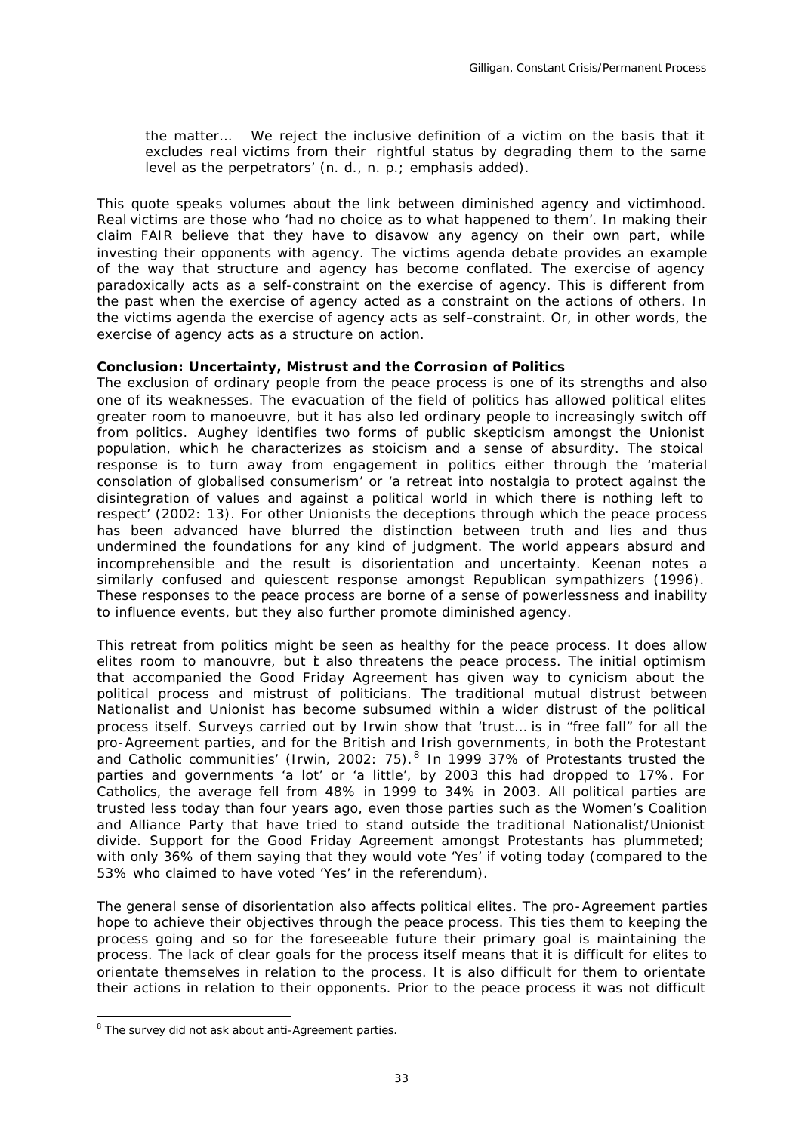the matter… We reject the inclusive definition of a victim on the basis that it excludes *real* victims from their rightful status by degrading them to the same level as the perpetrators' (n. d., n. p.; emphasis added).

This quote speaks volumes about the link between diminished agency and victimhood. *Real* victims are those who 'had no choice as to what happened to them'. In making their claim FAIR believe that they have to disavow any agency on their own part, while investing their opponents with agency. The victims agenda debate provides an example of the way that structure and agency has become conflated. The exercise of agency paradoxically acts as a self-constraint on the exercise of agency. This is different from the past when the exercise of agency acted as a constraint on the actions of others. In the victims agenda the exercise of agency acts as *self*–constraint. Or, in other words, the exercise of agency acts as a structure on action.

### *Conclusion: Uncertainty, Mistrust and the Corrosion of Politics*

The exclusion of ordinary people from the peace process is one of its strengths and also one of its weaknesses. The evacuation of the field of politics has allowed political elites greater room to manoeuvre, but it has also led ordinary people to increasingly switch off from politics. Aughey identifies two forms of public skepticism amongst the Unionist population, which he characterizes as stoicism and a sense of absurdity. The stoical response is to turn away from engagement in politics either through the 'material consolation of globalised consumerism' or 'a retreat into nostalgia to protect against the disintegration of values and against a political world in which there is nothing left to respect' (2002: 13). For other Unionists the deceptions through which the peace process has been advanced have blurred the distinction between truth and lies and thus undermined the foundations for any kind of judgment. The world appears absurd and incomprehensible and the result is disorientation and uncertainty. Keenan notes a similarly confused and quiescent response amongst Republican sympathizers (1996). These responses to the peace process are borne of a sense of powerlessness and inability to influence events, but they also further promote diminished agency.

This retreat from politics might be seen as healthy for the peace process. It does allow elites room to manouvre, but  $t$  also threatens the peace process. The initial optimism that accompanied the Good Friday Agreement has given way to cynicism about the political process and mistrust of politicians. The traditional mutual distrust between Nationalist and Unionist has become subsumed within a wider distrust of the political process itself. Surveys carried out by Irwin show that 'trust… is in "free fall" for all the pro-Agreement parties, and for the British and Irish governments, in both the Protestant and Catholic communities' (Irwin, 2002: 75).<sup>8</sup> In 1999 37% of Protestants trusted the parties and governments 'a lot' or 'a little', by 2003 this had dropped to 17%. For Catholics, the average fell from 48% in 1999 to 34% in 2003. All political parties are trusted less today than four years ago, even those parties such as the Women's Coalition and Alliance Party that have tried to stand outside the traditional Nationalist/Unionist divide. Support for the Good Friday Agreement amongst Protestants has plummeted; with only 36% of them saying that they would vote 'Yes' if voting today (compared to the 53% who claimed to have voted 'Yes' in the referendum).

The general sense of disorientation also affects political elites. The pro-Agreement parties hope to achieve their objectives through the peace process. This ties them to keeping the process going and so for the foreseeable future their primary goal is maintaining the process. The lack of clear goals for the process itself means that it is difficult for elites to orientate themselves in relation to the process. It is also difficult for them to orientate their actions in relation to their opponents. Prior to the peace process it was not difficult

l

<sup>&</sup>lt;sup>8</sup> The survey did not ask about anti-Agreement parties.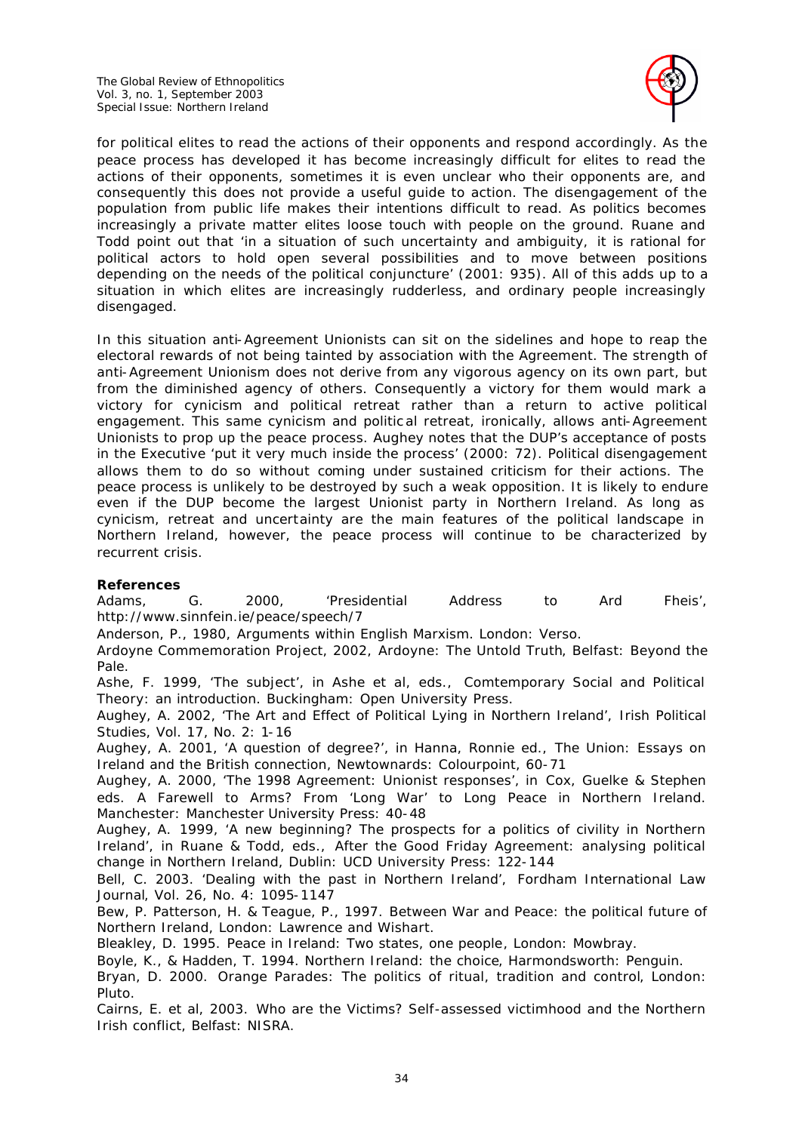

for political elites to read the actions of their opponents and respond accordingly. As the peace process has developed it has become increasingly difficult for elites to read the actions of their opponents, sometimes it is even unclear who their opponents are, and consequently this does not provide a useful guide to action. The disengagement of the population from public life makes their intentions difficult to read. As politics becomes increasingly a private matter elites loose touch with people on the ground. Ruane and Todd point out that 'in a situation of such uncertainty and ambiguity, it is rational for political actors to hold open several possibilities and to move between positions depending on the needs of the political conjuncture' (2001: 935). All of this adds up to a situation in which elites are increasingly rudderless, and ordinary people increasingly disengaged.

In this situation anti-Agreement Unionists can sit on the sidelines and hope to reap the electoral rewards of not being tainted by association with the Agreement. The strength of anti-Agreement Unionism does not derive from any vigorous agency on its own part, but from the diminished agency of others. Consequently a victory for them would mark a victory for cynicism and political retreat rather than a return to active political engagement. This same cynicism and politic al retreat, ironically, allows anti-Agreement Unionists to prop up the peace process. Aughey notes that the DUP's acceptance of posts in the Executive 'put it very much inside the process' (2000: 72). Political disengagement allows them to do so without coming under sustained criticism for their actions. The peace process is unlikely to be destroyed by such a weak opposition. It is likely to endure even if the DUP become the largest Unionist party in Northern Ireland. As long as cynicism, retreat and uncertainty are the main features of the political landscape in Northern Ireland, however, the peace process will continue to be characterized by recurrent crisis.

# *References*

Pluto.

Adams, G. 2000, 'Presidential Address to Ard Fheis', http://www.sinnfein.ie/peace/speech/7

Anderson, P., 1980, *Arguments within English Marxism*. London: Verso.

Ardoyne Commemoration Project, 2002, *Ardoyne: The Untold Truth*, Belfast: Beyond the Pale.

Ashe, F. 1999, 'The subject', in Ashe et al, eds., *Comtemporary Social and Political Theory: an introduction*. Buckingham: Open University Press.

Aughey, A. 2002, 'The Art and Effect of Political Lying in Northern Ireland', *Irish Political Studies*, Vol. 17, No. 2: 1-16

Aughey, A. 2001, 'A question of degree?', in Hanna, Ronnie ed., *The Union: Essays on Ireland and the British connection*, Newtownards: Colourpoint, 60-71

Aughey, A. 2000, 'The 1998 Agreement: Unionist responses', in Cox, Guelke & Stephen eds. *A Farewell to Arms? From 'Long War' to Long Peace in Northern Ireland*. Manchester: Manchester University Press: 40-48

Aughey, A. 1999, 'A new beginning? The prospects for a politics of civility in Northern Ireland', in Ruane & Todd, eds., *After the Good Friday Agreement: analysing political change in Northern Ireland*, Dublin: UCD University Press: 122-144

Bell, C. 2003. 'Dealing with the past in Northern Ireland', *Fordham International Law Journal*, Vol. 26, No. 4: 1095-1147

Bew, P. Patterson, H. & Teague, P., 1997. *Between War and Peace: the political future of Northern Ireland*, London: Lawrence and Wishart.

Bleakley, D. 1995. *Peace in Ireland: Two states, one people*, London: Mowbray.

Boyle, K., & Hadden, T. 1994. *Northern Ireland: the choice*, Harmondsworth: Penguin. Bryan, D. 2000. *Orange Parades: The politics of ritual, tradition and control*, London:

Cairns, E. et al, 2003. *Who are the Victims? Self-assessed victimhood and the Northern Irish conflict*, Belfast: NISRA.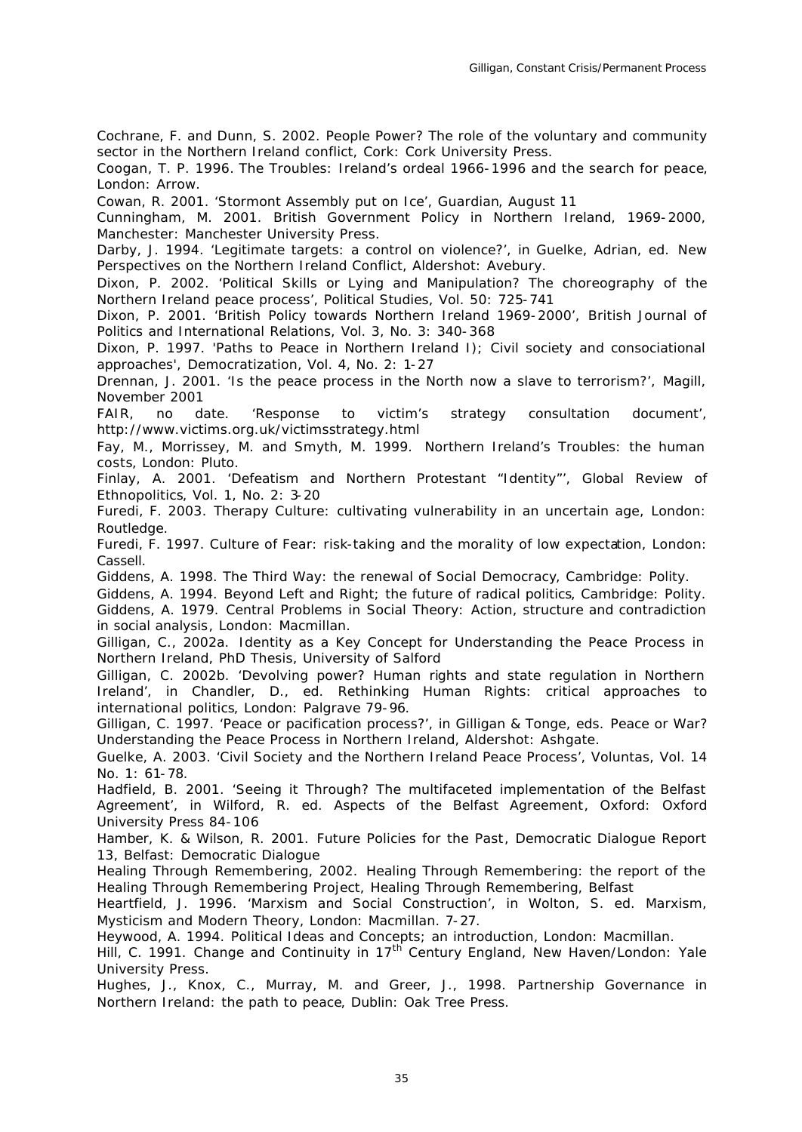Cochrane, F. and Dunn, S. 2002. *People Power? The role of the voluntary and community sector in the Northern Ireland conflict*, Cork: Cork University Press.

Coogan, T. P. 1996. *The Troubles: Ireland's ordeal 1966-1996 and the search for peace*, London: Arrow.

Cowan, R. 2001. 'Stormont Assembly put on Ice', *Guardian*, August 11

Cunningham, M. 2001. *British Government Policy in Northern Ireland, 1969-2000*, Manchester: Manchester University Press.

Darby, J. 1994. 'Legitimate targets: a control on violence?', in Guelke, Adrian, ed. *New Perspectives on the Northern Ireland Conflict*, Aldershot: Avebury.

Dixon, P. 2002. 'Political Skills or Lying and Manipulation? The choreography of the Northern Ireland peace process', *Political Studies*, Vol. 50: 725-741

Dixon, P. 2001. 'British Policy towards Northern Ireland 1969-2000', *British Journal of Politics and International Relations*, Vol. 3, No. 3: 340-368

Dixon, P. 1997. 'Paths to Peace in Northern Ireland I); Civil society and consociational approaches', *Democratization*, Vol. 4, No. 2: 1-27

Drennan, J. 2001. 'Is the peace process in the North now a slave to terrorism?', *Magill*, November 2001

FAIR, no date. 'Response to victim's strategy consultation document', http://www.victims.org.uk/victimsstrategy.html

Fay, M., Morrissey, M. and Smyth, M. 1999. *Northern Ireland's Troubles: the human costs*, London: Pluto.

Finlay, A. 2001. 'Defeatism and Northern Protestant "Identity"', *Global Review of Ethnopolitics*, Vol. 1, No. 2: 3-20

Furedi, F. 2003. *Therapy Culture: cultivating vulnerability in an uncertain age*, London: Routledge.

Furedi, F. 1997. *Culture of Fear: risk-taking and the morality of low expectation*, London: Cassell.

Giddens, A. 1998. *The Third Way: the renewal of Social Democracy*, Cambridge: Polity.

Giddens, A. 1994. *Beyond Left and Right; the future of radical politics*, Cambridge: Polity.

Giddens, A. 1979. *Central Problems in Social Theory: Action, structure and contradiction in social analysis*, London: Macmillan.

Gilligan, C., 2002a. *Identity as a Key Concept for Understanding the Peace Process in Northern Ireland*, PhD Thesis, University of Salford

Gilligan, C. 2002b. 'Devolving power? Human rights and state regulation in Northern Ireland', in Chandler, D., ed. *Rethinking Human Rights: critical approaches to international politics*, London: Palgrave 79-96.

Gilligan, C. 1997. 'Peace or pacification process?', in Gilligan & Tonge, eds. *Peace or War? Understanding the Peace Process in Northern Ireland*, Aldershot: Ashgate.

Guelke, A. 2003. 'Civil Society and the Northern Ireland Peace Process', *Voluntas*, Vol. 14 No. 1: 61-78.

Hadfield, B. 2001. 'Seeing it Through? The multifaceted implementation of the Belfast Agreement', in Wilford, R. ed. *Aspects of the Belfast Agreement*, Oxford: Oxford University Press 84-106

Hamber, K. & Wilson, R. 2001. *Future Policies for the Past*, Democratic Dialogue Report 13, Belfast: Democratic Dialogue

Healing Through Remembering, 2002. *Healing Through Remembering: the report of the Healing Through Remembering Project*, Healing Through Remembering, Belfast

Heartfield, J. 1996. 'Marxism and Social Construction', in Wolton, S. ed. *Marxism, Mysticism and Modern Theory*, London: Macmillan. 7-27.

Heywood, A. 1994. *Political Ideas and Concepts; an introduction*, London: Macmillan.

Hill, C. 1991. *Change and Continuity in 17th Century England*, New Haven/London: Yale University Press.

Hughes, J., Knox, C., Murray, M. and Greer, J., 1998. *Partnership Governance in Northern Ireland: the path to peace*, Dublin: Oak Tree Press.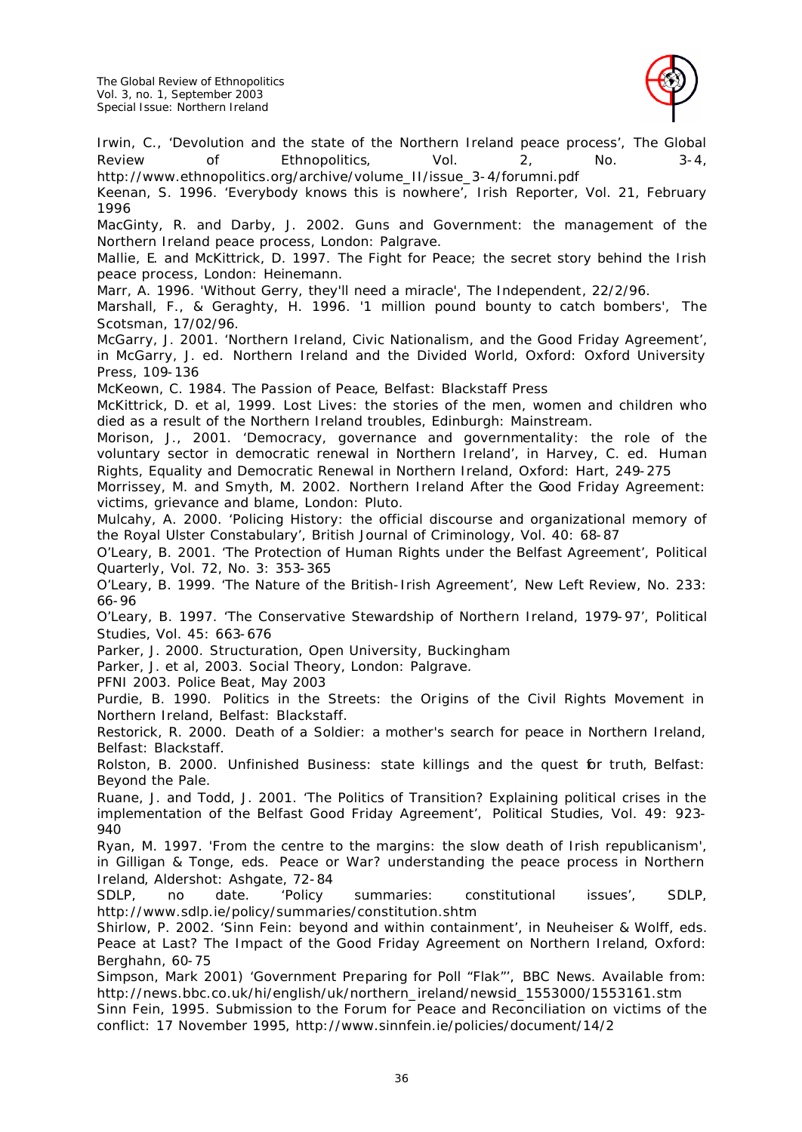

Irwin, C., 'Devolution and the state of the Northern Ireland peace process', *The Global Review of Ethnopolitics*, Vol. 2, No. 3-4, http://www.ethnopolitics.org/archive/volume\_II/issue\_3-4/forumni.pdf

Keenan, S. 1996. 'Everybody knows this is nowhere', *Irish Reporter*, Vol. 21, February 1996

MacGinty, R. and Darby, J. 2002. *Guns and Government: the management of the Northern Ireland peace process*, London: Palgrave.

Mallie, E. and McKittrick, D. 1997. *The Fight for Peace; the secret story behind the Irish peace process*, London: Heinemann.

Marr, A. 1996. 'Without Gerry, they'll need a miracle', *The Independent*, 22/2/96.

Marshall, F., & Geraghty, H. 1996. '1 million pound bounty to catch bombers', *The Scotsman*, 17/02/96.

McGarry, J. 2001. 'Northern Ireland, Civic Nationalism, and the Good Friday Agreement', in McGarry, J. ed. *Northern Ireland and the Divided World*, Oxford: Oxford University Press, 109-136

McKeown, C. 1984. *The Passion of Peace*, Belfast: Blackstaff Press

McKittrick, D. et al, 1999. *Lost Lives: the stories of the men, women and children who died as a result of the Northern Ireland troubles*, Edinburgh: Mainstream.

Morison, J., 2001. 'Democracy, governance and governmentality: the role of the voluntary sector in democratic renewal in Northern Ireland', in Harvey, C. ed. *Human Rights, Equality and Democratic Renewal in Northern Ireland*, Oxford: Hart, 249-275

Morrissey, M. and Smyth, M. 2002. *Northern Ireland After the Good Friday Agreement: victims, grievance and blame*, London: Pluto.

Mulcahy, A. 2000. 'Policing History: the official discourse and organizational memory of the Royal Ulster Constabulary', *British Journal of Criminology*, Vol. 40: 68-87

O'Leary, B. 2001. 'The Protection of Human Rights under the Belfast Agreement', *Political Quarterly*, Vol. 72, No. 3: 353-365

O'Leary, B. 1999. 'The Nature of the British-Irish Agreement', *New Left Review*, No. 233: 66-96

O'Leary, B. 1997. 'The Conservative Stewardship of Northern Ireland, 1979-97', *Political Studies*, Vol. 45: 663-676

Parker, J. 2000. *Structuration*, Open University, Buckingham

Parker, J. et al, 2003. *Social Theory*, London: Palgrave.

PFNI 2003. *Police Beat*, May 2003

Purdie, B. 1990. *Politics in the Streets: the Origins of the Civil Rights Movement in Northern Ireland*, Belfast: Blackstaff.

Restorick, R. 2000. *Death of a Soldier: a mother's search for peace in Northern Ireland*, Belfast: Blackstaff.

Rolston, B. 2000. *Unfinished Business: state killings and the quest for truth*, Belfast: Beyond the Pale.

Ruane, J. and Todd, J. 2001. 'The Politics of Transition? Explaining political crises in the implementation of the Belfast Good Friday Agreement', *Political Studies*, Vol. 49: 923- 940

Ryan, M. 1997. 'From the centre to the margins: the slow death of Irish republicanism', in Gilligan & Tonge, eds. *Peace or War? understanding the peace process in Northern Ireland*, Aldershot: Ashgate, 72-84

SDLP, no date. 'Policy summaries: constitutional issues', SDLP, http://www.sdlp.ie/policy/summaries/constitution.shtm

Shirlow, P. 2002. 'Sinn Fein: beyond and within containment', in Neuheiser & Wolff, eds. *Peace at Last? The Impact of the Good Friday Agreement on Northern Ireland*, Oxford: Berghahn, 60-75

Simpson, Mark 2001) 'Government Preparing for Poll "Flak"', *BBC News*. Available from: http://news.bbc.co.uk/hi/english/uk/northern\_ireland/newsid\_1553000/1553161.stm

Sinn Fein, 1995. *Submission to the Forum for Peace and Reconciliation on victims of the conflict: 17 November 1995*, http://www.sinnfein.ie/policies/document/14/2